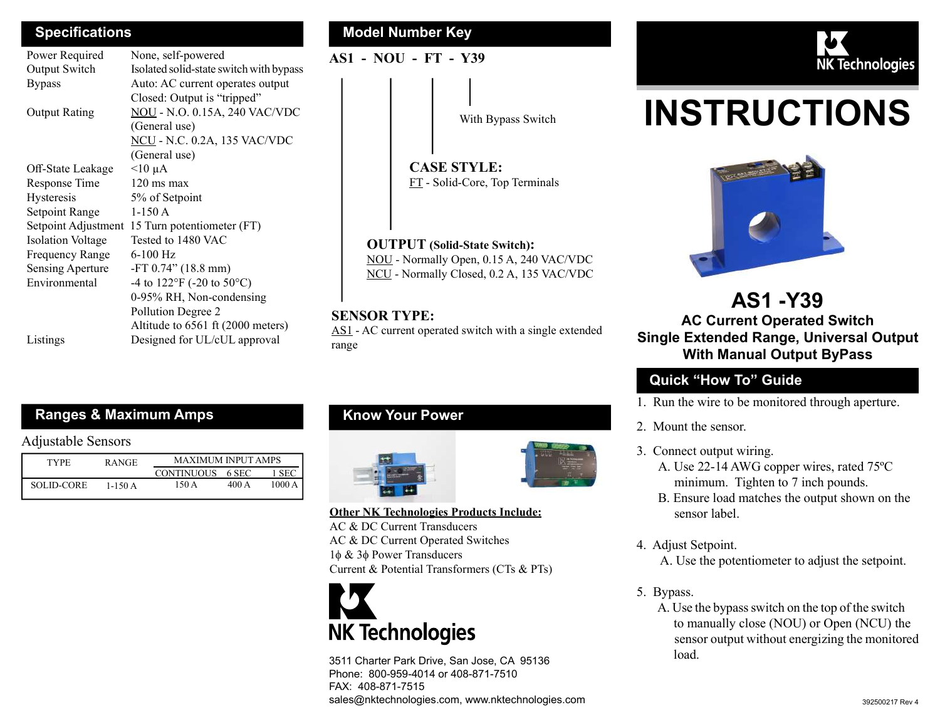| Power Required           | None, self-powered                            |  |  |  |
|--------------------------|-----------------------------------------------|--|--|--|
| Output Switch            | Isolated solid-state switch with bypass       |  |  |  |
| <b>Bypass</b>            | Auto: AC current operates output              |  |  |  |
|                          | Closed: Output is "tripped"                   |  |  |  |
| <b>Output Rating</b>     | <b>NOU - N.O. 0.15A, 240 VAC/VDC</b>          |  |  |  |
|                          | (General use)                                 |  |  |  |
|                          | <b>NCU</b> - N.C. 0.2A, 135 VAC/VDC           |  |  |  |
|                          | (General use)                                 |  |  |  |
| Off-State Leakage        | $<$ 10 µA                                     |  |  |  |
| Response Time            | $120 \text{ ms} \text{ max}$                  |  |  |  |
| Hysteresis               | 5% of Setpoint                                |  |  |  |
| Setpoint Range           | $1-150A$                                      |  |  |  |
| Setpoint Adjustment      | 15 Turn potentiometer (FT)                    |  |  |  |
| <b>Isolation Voltage</b> | Tested to 1480 VAC                            |  |  |  |
| <b>Frequency Range</b>   | 6-100 Hz                                      |  |  |  |
| Sensing Aperture         | $-FT 0.74$ " (18.8 mm)                        |  |  |  |
| Environmental            | -4 to $122^{\circ}$ F (-20 to $50^{\circ}$ C) |  |  |  |
|                          | 0-95% RH, Non-condensing                      |  |  |  |
|                          | Pollution Degree 2                            |  |  |  |
|                          | Altitude to 6561 ft (2000 meters)             |  |  |  |
| Listings                 | Designed for UL/cUL approval                  |  |  |  |

#### Specifications **Model Number Key Model Number Key**

AS1 - NOU - FT - Y39

CASE STYLE:

OUTPUT (Solid-State Switch):

FT - Solid-Core, Top Terminals

With Bypass Switch

NOU - Normally Open, 0.15 A, 240 VAC/VDC NCU - Normally Closed, 0.2 A, 135 VAC/VDC

AS1 - AC current operated switch with a single extended



# INSTRUCTIONS



# AS1 -Y39 AC Current Operated Switch Single Extended Range, Universal Output With Manual Output ByPass

# Quick "How To" Guide

- 1. Run the wire to be monitored through aperture.
- 2. Mount the sensor.
- 3. Connect output wiring.
	- A. Use 22-14 AWG copper wires, rated 75ºC minimum. Tighten to 7 inch pounds.
	- B. Ensure load matches the output shown on the sensor label.
- 4. Adjust Setpoint.

A. Use the potentiometer to adjust the setpoint.

- 5. Bypass.
	- A. Use the bypass switch on the top of the switch to manually close (NOU) or Open (NCU) the sensor output without energizing the monitored load.

# Ranges & Maximum Amps

#### Adjustable Sensors

| <b>TYPE</b> | <b>RANGE</b> | <b>MAXIMUM INPUT AMPS</b> |       |       |
|-------------|--------------|---------------------------|-------|-------|
|             |              | <b>CONTINUOUS</b>         | 6 SEC | -SEC  |
| SOLID-CORE  | 1-150 A      | 150 A                     | 400 A | 1000A |

# Know Your Power

SENSOR TYPE:

range





Other NK Technologies Products Include: AC & DC Current Transducers

AC & DC Current Operated Switches  $1\phi \& 3\phi$  Power Transducers Current & Potential Transformers (CTs & PTs)



3511 Charter Park Drive, San Jose, CA 95136 Phone: 800-959-4014 or 408-871-7510 FAX: 408-871-7515 sales@nktechnologies.com, www.nktechnologies.com